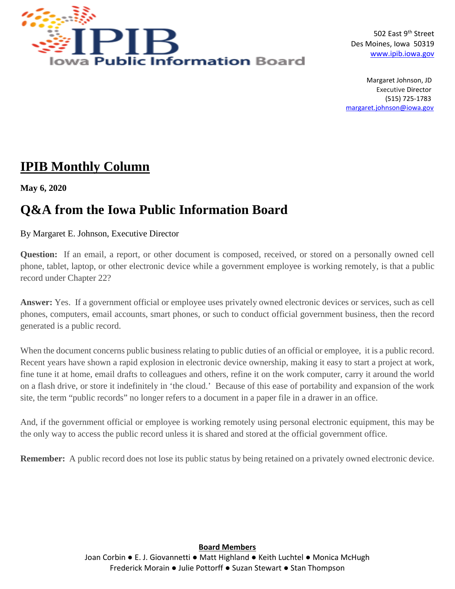

502 East 9<sup>th</sup> Street Des Moines, Iowa 50319 [www.ipib.iowa.gov](http://www.ipib.iowa.gov/)

 Margaret Johnson, JD Executive Director (515) 725-178[3](mailto:)  [margaret.johnson@iowa.gov](mailto:margaret.johnson@iowa.gov)

## **IPIB Monthly Column**

**May 6, 2020**

## **Q&A from the Iowa Public Information Board**

By Margaret E. Johnson, Executive Director

**Question:** If an email, a report, or other document is composed, received, or stored on a personally owned cell phone, tablet, laptop, or other electronic device while a government employee is working remotely, is that a public record under Chapter 22?

**Answer:** Yes. If a government official or employee uses privately owned electronic devices or services, such as cell phones, computers, email accounts, smart phones, or such to conduct official government business, then the record generated is a public record.

When the document concerns public business relating to public duties of an official or employee, it is a public record. Recent years have shown a rapid explosion in electronic device ownership, making it easy to start a project at work, fine tune it at home, email drafts to colleagues and others, refine it on the work computer, carry it around the world on a flash drive, or store it indefinitely in 'the cloud.' Because of this ease of portability and expansion of the work site, the term "public records" no longer refers to a document in a paper file in a drawer in an office.

And, if the government official or employee is working remotely using personal electronic equipment, this may be the only way to access the public record unless it is shared and stored at the official government office.

**Remember:** A public record does not lose its public status by being retained on a privately owned electronic device.

**Board Members** Joan Corbin • E. J. Giovannetti • Matt Highland • Keith Luchtel • Monica McHugh Frederick Morain ● Julie Pottorff ● Suzan Stewart ● Stan Thompson